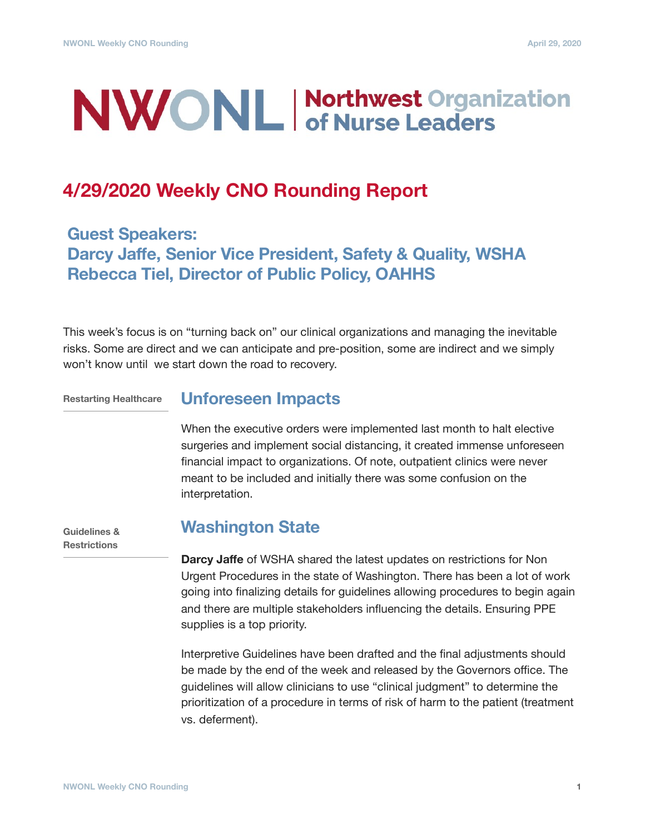# **NWONL** Morthwest Organization

## **4/29/2020 Weekly CNO Rounding Report**

**Guest Speakers: Darcy Jaffe, Senior Vice President, Safety & Quality, WSHA Rebecca Tiel, Director of Public Policy, OAHHS** 

This week's focus is on "turning back on" our clinical organizations and managing the inevitable risks. Some are direct and we can anticipate and pre-position, some are indirect and we simply won't know until we start down the road to recovery.

**Restarting Healthcare**

#### **Unforeseen Impacts**

When the executive orders were implemented last month to halt elective surgeries and implement social distancing, it created immense unforeseen financial impact to organizations. Of note, outpatient clinics were never meant to be included and initially there was some confusion on the interpretation.

**Guidelines & Restrictions**

#### **Washington State**

**Darcy Jaffe** of WSHA shared the latest updates on restrictions for Non Urgent Procedures in the state of Washington. There has been a lot of work going into finalizing details for guidelines allowing procedures to begin again and there are multiple stakeholders influencing the details. Ensuring PPE supplies is a top priority.

Interpretive Guidelines have been drafted and the final adjustments should be made by the end of the week and released by the Governors office. The guidelines will allow clinicians to use "clinical judgment" to determine the prioritization of a procedure in terms of risk of harm to the patient (treatment vs. deferment).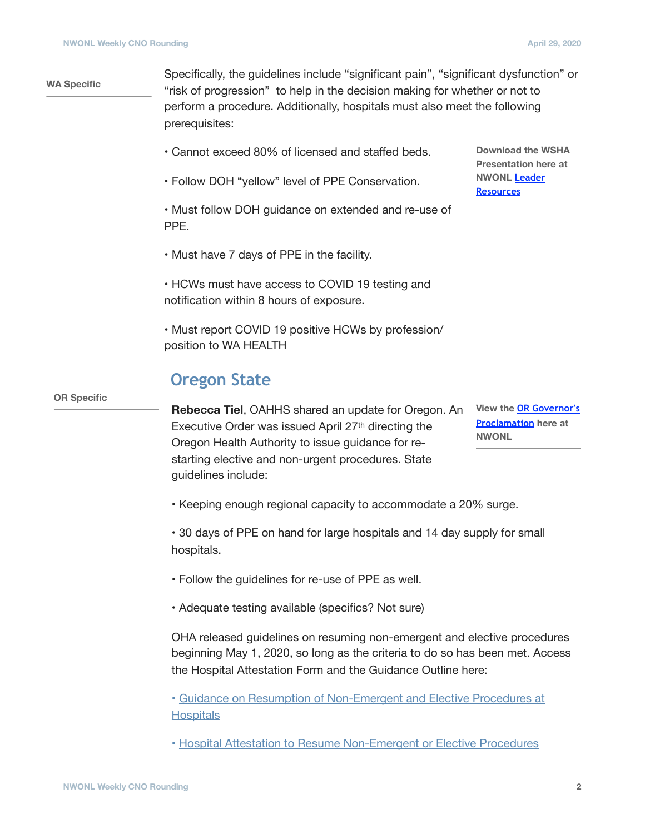#### **WA Specific**

Specifically, the guidelines include "significant pain", "significant dysfunction" or "risk of progression" to help in the decision making for whether or not to perform a procedure. Additionally, hospitals must also meet the following prerequisites:

- Cannot exceed 80% of licensed and staffed beds.
- Follow DOH "yellow" level of PPE Conservation.

• Must follow DOH guidance on extended and re-use of PPE.

• Must have 7 days of PPE in the facility.

• HCWs must have access to COVID 19 testing and notification within 8 hours of exposure.

• Must report COVID 19 positive HCWs by profession/ position to WA HEALTH

#### **Oregon State**

**Rebecca Tiel**, OAHHS shared an update for Oregon. An Executive Order was issued April 27<sup>th</sup> directing the Oregon Health Authority to issue guidance for restarting elective and non-urgent procedures. State guidelines include:

**View the [OR Governor's](https://www.nwonl.org/docs/Oregon_Executive_Order_20-22.pdf)  [Proclamation](https://www.nwonl.org/docs/Oregon_Executive_Order_20-22.pdf) here at NWONL**

• Keeping enough regional capacity to accommodate a 20% surge.

• 30 days of PPE on hand for large hospitals and 14 day supply for small hospitals.

- Follow the guidelines for re-use of PPE as well.
- Adequate testing available (specifics? Not sure)

OHA released guidelines on resuming non-emergent and elective procedures beginning May 1, 2020, so long as the criteria to do so has been met. Access the Hospital Attestation Form and the Guidance Outline here:

• [Guidance on Resumption of Non-Emergent and Elective Procedures at](https://www.nwonl.org/docs/OHA_2322U_Guidance_on_Resumption_of_Non-Emergent_and_Elective_Procedures_at_Hospitals-FINAL.pdf)  **[Hospitals](https://www.nwonl.org/docs/OHA_2322U_Guidance_on_Resumption_of_Non-Emergent_and_Elective_Procedures_at_Hospitals-FINAL.pdf)** 

• [Hospital Attestation to Resume Non-Emergent or Elective Procedures](https://www.nwonl.org/docs/OHA_2322V_Hospital_Attestation_to_Resume_Non-emergent_or_Elective_procedures-FINAL.pdf)

**OR Specific**

**Download the WSHA Presentation here at NWONL [Leader](https://www.nwonl.org/docs/NWONL_Non_urgent_procedures_and_surgeries.pptx)  [Resources](https://www.nwonl.org/docs/NWONL_Non_urgent_procedures_and_surgeries.pptx)**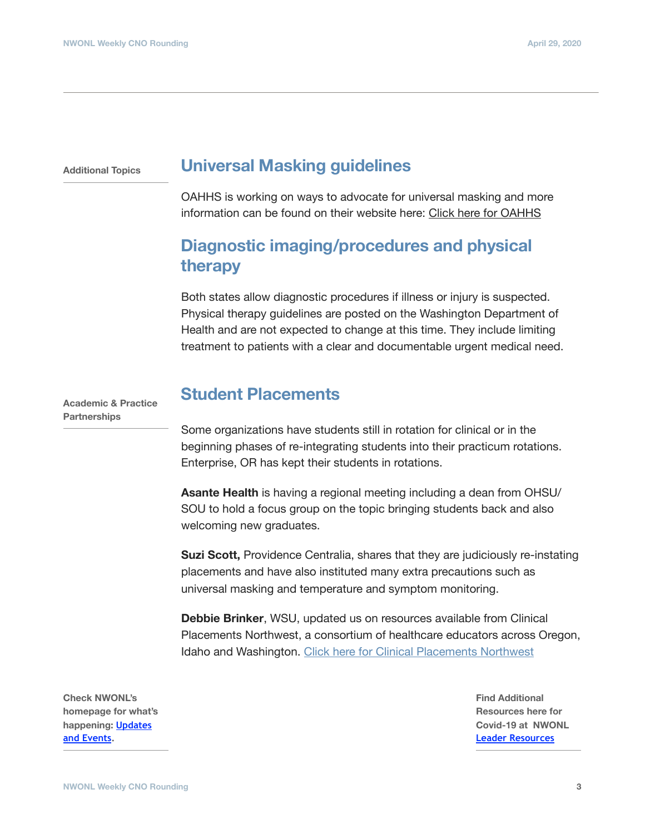**Additional Topics**

#### **Universal Masking guidelines**

OAHHS is working on ways to advocate for universal masking and more information can be found on their website here: [Click here for OAHHS](https://www.orhospitalresources.org/)

### **Diagnostic imaging/procedures and physical therapy**

Both states allow diagnostic procedures if illness or injury is suspected. Physical therapy guidelines are posted on the Washington Department of Health and are not expected to change at this time. They include limiting treatment to patients with a clear and documentable urgent medical need.

**Academic & Practice Partnerships**

#### **Student Placements**

Some organizations have students still in rotation for clinical or in the beginning phases of re-integrating students into their practicum rotations. Enterprise, OR has kept their students in rotations.

**Asante Health** is having a regional meeting including a dean from OHSU/ SOU to hold a focus group on the topic bringing students back and also welcoming new graduates.

**Suzi Scott,** Providence Centralia, shares that they are judiciously re-instating placements and have also instituted many extra precautions such as universal masking and temperature and symptom monitoring.

**Debbie Brinker**, WSU, updated us on resources available from Clinical Placements Northwest, a consortium of healthcare educators across Oregon, Idaho and Washington. [Click here for Clinical Placements Northwest](http://www.cpnw.org)

**Check NWONL's homepage for what's happening: [Updates](https://nwonl.org)  [and Events.](https://nwonl.org)** 

**Find Additional Resources here for Covid-19 at NWONL [Leader Resources](https://www.nwonl.org/covid-19_resources.php)**